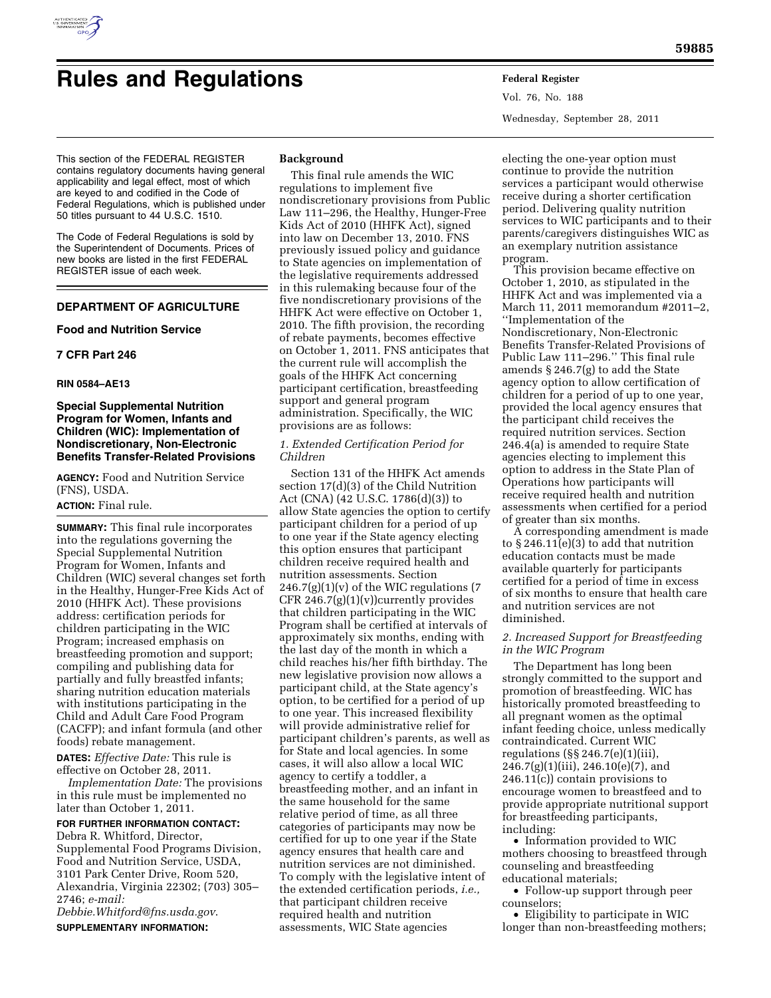

# **Rules and Regulations Federal Register**

Vol. 76, No. 188 Wednesday, September 28, 2011

This section of the FEDERAL REGISTER contains regulatory documents having general applicability and legal effect, most of which are keyed to and codified in the Code of Federal Regulations, which is published under 50 titles pursuant to 44 U.S.C. 1510.

The Code of Federal Regulations is sold by the Superintendent of Documents. Prices of new books are listed in the first FEDERAL REGISTER issue of each week.

# **DEPARTMENT OF AGRICULTURE**

#### **Food and Nutrition Service**

#### **7 CFR Part 246**

#### **RIN 0584–AE13**

# **Special Supplemental Nutrition Program for Women, Infants and Children (WIC): Implementation of Nondiscretionary, Non-Electronic Benefits Transfer-Related Provisions**

**AGENCY:** Food and Nutrition Service (FNS), USDA.

#### **ACTION:** Final rule.

**SUMMARY:** This final rule incorporates into the regulations governing the Special Supplemental Nutrition Program for Women, Infants and Children (WIC) several changes set forth in the Healthy, Hunger-Free Kids Act of 2010 (HHFK Act). These provisions address: certification periods for children participating in the WIC Program; increased emphasis on breastfeeding promotion and support; compiling and publishing data for partially and fully breastfed infants; sharing nutrition education materials with institutions participating in the Child and Adult Care Food Program (CACFP); and infant formula (and other foods) rebate management.

**DATES:** *Effective Date:* This rule is effective on October 28, 2011.

*Implementation Date:* The provisions in this rule must be implemented no later than October 1, 2011.

**FOR FURTHER INFORMATION CONTACT:**  Debra R. Whitford, Director, Supplemental Food Programs Division, Food and Nutrition Service, USDA, 3101 Park Center Drive, Room 520,

Alexandria, Virginia 22302; (703) 305– 2746; *e-mail:* 

*[Debbie.Whitford@fns.usda.gov](mailto:Debbie.Whitford@fns.usda.gov)*. **SUPPLEMENTARY INFORMATION:** 

# **Background**

This final rule amends the WIC regulations to implement five nondiscretionary provisions from Public Law 111–296, the Healthy, Hunger-Free Kids Act of 2010 (HHFK Act), signed into law on December 13, 2010. FNS previously issued policy and guidance to State agencies on implementation of the legislative requirements addressed in this rulemaking because four of the five nondiscretionary provisions of the HHFK Act were effective on October 1, 2010. The fifth provision, the recording of rebate payments, becomes effective on October 1, 2011. FNS anticipates that the current rule will accomplish the goals of the HHFK Act concerning participant certification, breastfeeding support and general program administration. Specifically, the WIC provisions are as follows:

# *1. Extended Certification Period for Children*

Section 131 of the HHFK Act amends section 17(d)(3) of the Child Nutrition Act (CNA) (42 U.S.C. 1786(d)(3)) to allow State agencies the option to certify participant children for a period of up to one year if the State agency electing this option ensures that participant children receive required health and nutrition assessments. Section  $246.7(g)(1)(v)$  of the WIC regulations (7) CFR 246.7 $(g)(1)(v)$ currently provides that children participating in the WIC Program shall be certified at intervals of approximately six months, ending with the last day of the month in which a child reaches his/her fifth birthday. The new legislative provision now allows a participant child, at the State agency's option, to be certified for a period of up to one year. This increased flexibility will provide administrative relief for participant children's parents, as well as for State and local agencies. In some cases, it will also allow a local WIC agency to certify a toddler, a breastfeeding mother, and an infant in the same household for the same relative period of time, as all three categories of participants may now be certified for up to one year if the State agency ensures that health care and nutrition services are not diminished. To comply with the legislative intent of the extended certification periods, *i.e.,*  that participant children receive required health and nutrition assessments, WIC State agencies

electing the one-year option must continue to provide the nutrition services a participant would otherwise receive during a shorter certification period. Delivering quality nutrition services to WIC participants and to their parents/caregivers distinguishes WIC as an exemplary nutrition assistance program.

This provision became effective on October 1, 2010, as stipulated in the HHFK Act and was implemented via a March 11, 2011 memorandum #2011–2, ''Implementation of the Nondiscretionary, Non-Electronic Benefits Transfer-Related Provisions of Public Law 111–296.'' This final rule amends § 246.7(g) to add the State agency option to allow certification of children for a period of up to one year, provided the local agency ensures that the participant child receives the required nutrition services. Section 246.4(a) is amended to require State agencies electing to implement this option to address in the State Plan of Operations how participants will receive required health and nutrition assessments when certified for a period of greater than six months.

A corresponding amendment is made to § 246.11(e)(3) to add that nutrition education contacts must be made available quarterly for participants certified for a period of time in excess of six months to ensure that health care and nutrition services are not diminished.

# *2. Increased Support for Breastfeeding in the WIC Program*

The Department has long been strongly committed to the support and promotion of breastfeeding. WIC has historically promoted breastfeeding to all pregnant women as the optimal infant feeding choice, unless medically contraindicated. Current WIC regulations (§§ 246.7(e)(1)(iii),  $246.7(g)(1)(iii)$ ,  $246.10(e)(7)$ , and 246.11(c)) contain provisions to encourage women to breastfeed and to provide appropriate nutritional support for breastfeeding participants, including:

• Information provided to WIC mothers choosing to breastfeed through counseling and breastfeeding educational materials;

• Follow-up support through peer counselors;

• Eligibility to participate in WIC longer than non-breastfeeding mothers;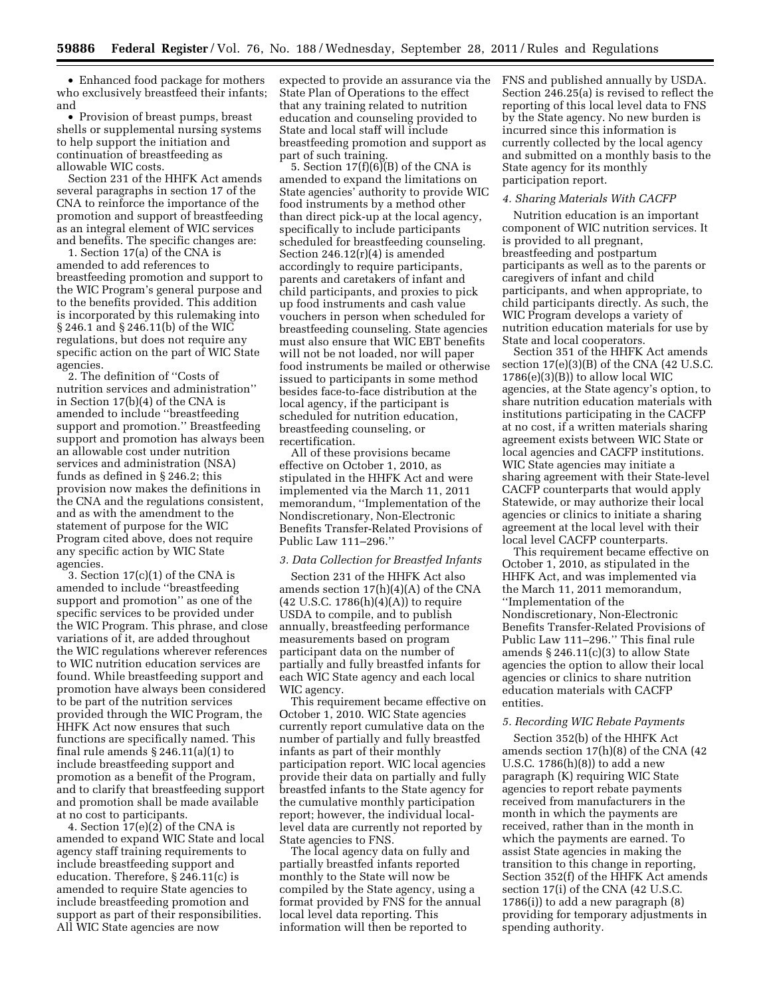• Enhanced food package for mothers who exclusively breastfeed their infants; and

• Provision of breast pumps, breast shells or supplemental nursing systems to help support the initiation and continuation of breastfeeding as allowable WIC costs.

Section 231 of the HHFK Act amends several paragraphs in section 17 of the CNA to reinforce the importance of the promotion and support of breastfeeding as an integral element of WIC services and benefits. The specific changes are:

1. Section 17(a) of the CNA is amended to add references to breastfeeding promotion and support to the WIC Program's general purpose and to the benefits provided. This addition is incorporated by this rulemaking into § 246.1 and § 246.11(b) of the WIC regulations, but does not require any specific action on the part of WIC State agencies.

2. The definition of ''Costs of nutrition services and administration'' in Section 17(b)(4) of the CNA is amended to include ''breastfeeding support and promotion.'' Breastfeeding support and promotion has always been an allowable cost under nutrition services and administration (NSA) funds as defined in § 246.2; this provision now makes the definitions in the CNA and the regulations consistent, and as with the amendment to the statement of purpose for the WIC Program cited above, does not require any specific action by WIC State agencies.

3. Section 17(c)(1) of the CNA is amended to include ''breastfeeding support and promotion'' as one of the specific services to be provided under the WIC Program. This phrase, and close variations of it, are added throughout the WIC regulations wherever references to WIC nutrition education services are found. While breastfeeding support and promotion have always been considered to be part of the nutrition services provided through the WIC Program, the HHFK Act now ensures that such functions are specifically named. This final rule amends  $\S 246.11(a)(1)$  to include breastfeeding support and promotion as a benefit of the Program, and to clarify that breastfeeding support and promotion shall be made available at no cost to participants.

4. Section 17(e)(2) of the CNA is amended to expand WIC State and local agency staff training requirements to include breastfeeding support and education. Therefore, § 246.11(c) is amended to require State agencies to include breastfeeding promotion and support as part of their responsibilities. All WIC State agencies are now

expected to provide an assurance via the State Plan of Operations to the effect that any training related to nutrition education and counseling provided to State and local staff will include breastfeeding promotion and support as part of such training.

5. Section  $17(f)(6)(B)$  of the CNA is amended to expand the limitations on State agencies' authority to provide WIC food instruments by a method other than direct pick-up at the local agency, specifically to include participants scheduled for breastfeeding counseling. Section 246.12(r)(4) is amended accordingly to require participants, parents and caretakers of infant and child participants, and proxies to pick up food instruments and cash value vouchers in person when scheduled for breastfeeding counseling. State agencies must also ensure that WIC EBT benefits will not be not loaded, nor will paper food instruments be mailed or otherwise issued to participants in some method besides face-to-face distribution at the local agency, if the participant is scheduled for nutrition education, breastfeeding counseling, or recertification.

All of these provisions became effective on October 1, 2010, as stipulated in the HHFK Act and were implemented via the March 11, 2011 memorandum, ''Implementation of the Nondiscretionary, Non-Electronic Benefits Transfer-Related Provisions of Public Law 111–296.''

#### *3. Data Collection for Breastfed Infants*

Section 231 of the HHFK Act also amends section 17(h)(4)(A) of the CNA  $(42 \text{ U.S.C. } 1786 \text{ (h)} \text{/(4)} \text{)}$  to require USDA to compile, and to publish annually, breastfeeding performance measurements based on program participant data on the number of partially and fully breastfed infants for each WIC State agency and each local WIC agency.

This requirement became effective on October 1, 2010. WIC State agencies currently report cumulative data on the number of partially and fully breastfed infants as part of their monthly participation report. WIC local agencies provide their data on partially and fully breastfed infants to the State agency for the cumulative monthly participation report; however, the individual locallevel data are currently not reported by State agencies to FNS.

The local agency data on fully and partially breastfed infants reported monthly to the State will now be compiled by the State agency, using a format provided by FNS for the annual local level data reporting. This information will then be reported to

FNS and published annually by USDA. Section 246.25(a) is revised to reflect the reporting of this local level data to FNS by the State agency. No new burden is incurred since this information is currently collected by the local agency and submitted on a monthly basis to the State agency for its monthly participation report.

#### *4. Sharing Materials With CACFP*

Nutrition education is an important component of WIC nutrition services. It is provided to all pregnant, breastfeeding and postpartum participants as well as to the parents or caregivers of infant and child participants, and when appropriate, to child participants directly. As such, the WIC Program develops a variety of nutrition education materials for use by State and local cooperators.

Section 351 of the HHFK Act amends section 17(e)(3)(B) of the CNA (42 U.S.C.  $1786(e)(3)(B)$ ) to allow local WIC agencies, at the State agency's option, to share nutrition education materials with institutions participating in the CACFP at no cost, if a written materials sharing agreement exists between WIC State or local agencies and CACFP institutions. WIC State agencies may initiate a sharing agreement with their State-level CACFP counterparts that would apply Statewide, or may authorize their local agencies or clinics to initiate a sharing agreement at the local level with their local level CACFP counterparts.

This requirement became effective on October 1, 2010, as stipulated in the HHFK Act, and was implemented via the March 11, 2011 memorandum, ''Implementation of the Nondiscretionary, Non-Electronic Benefits Transfer-Related Provisions of Public Law 111–296.'' This final rule amends  $\S 246.11(c)(3)$  to allow State agencies the option to allow their local agencies or clinics to share nutrition education materials with CACFP entities.

# *5. Recording WIC Rebate Payments*

Section 352(b) of the HHFK Act amends section 17(h)(8) of the CNA (42 U.S.C. 1786(h)(8)) to add a new paragraph (K) requiring WIC State agencies to report rebate payments received from manufacturers in the month in which the payments are received, rather than in the month in which the payments are earned. To assist State agencies in making the transition to this change in reporting, Section 352(f) of the HHFK Act amends section 17(i) of the CNA (42 U.S.C. 1786(i)) to add a new paragraph (8) providing for temporary adjustments in spending authority.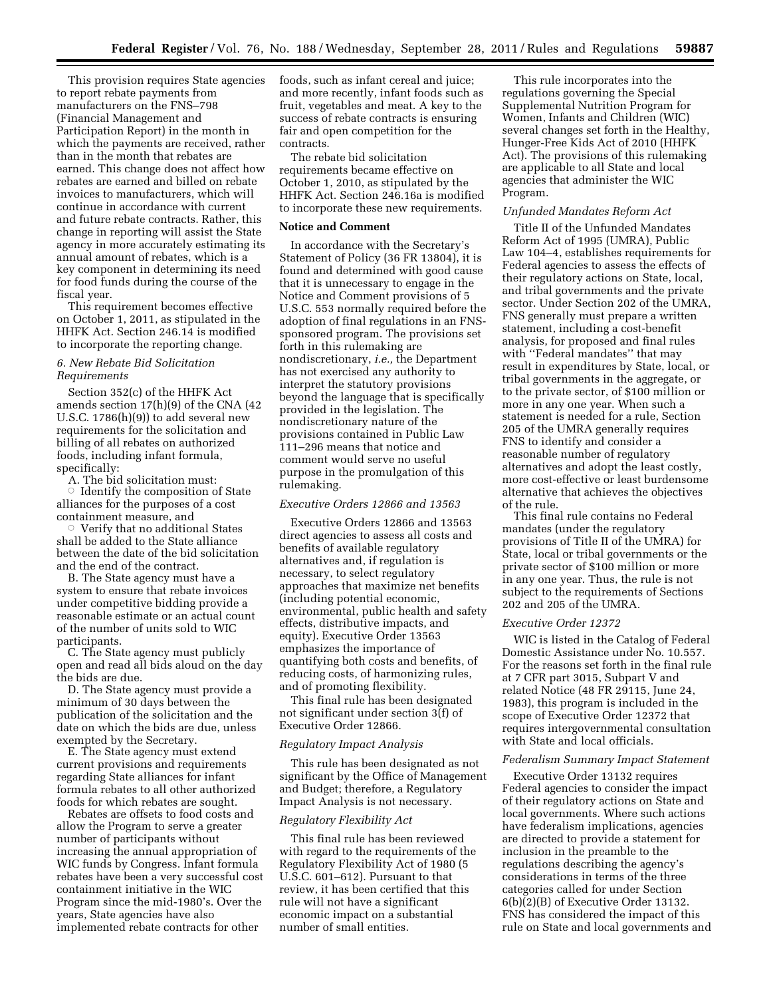This provision requires State agencies to report rebate payments from manufacturers on the FNS–798 (Financial Management and Participation Report) in the month in which the payments are received, rather than in the month that rebates are earned. This change does not affect how rebates are earned and billed on rebate invoices to manufacturers, which will continue in accordance with current and future rebate contracts. Rather, this change in reporting will assist the State agency in more accurately estimating its annual amount of rebates, which is a key component in determining its need for food funds during the course of the fiscal year.

This requirement becomes effective on October 1, 2011, as stipulated in the HHFK Act. Section 246.14 is modified to incorporate the reporting change.

# *6. New Rebate Bid Solicitation Requirements*

Section 352(c) of the HHFK Act amends section 17(h)(9) of the CNA (42 U.S.C. 1786(h)(9)) to add several new requirements for the solicitation and billing of all rebates on authorized foods, including infant formula, specifically:

A. The bid solicitation must:  $\circ$  Identify the composition of State

alliances for the purposes of a cost containment measure, and

 $\circ$  Verify that no additional States shall be added to the State alliance between the date of the bid solicitation and the end of the contract.

B. The State agency must have a system to ensure that rebate invoices under competitive bidding provide a reasonable estimate or an actual count of the number of units sold to WIC participants.

C. The State agency must publicly open and read all bids aloud on the day the bids are due.

D. The State agency must provide a minimum of 30 days between the publication of the solicitation and the date on which the bids are due, unless exempted by the Secretary.

E. The State agency must extend current provisions and requirements regarding State alliances for infant formula rebates to all other authorized foods for which rebates are sought.

Rebates are offsets to food costs and allow the Program to serve a greater number of participants without increasing the annual appropriation of WIC funds by Congress. Infant formula rebates have been a very successful cost containment initiative in the WIC Program since the mid-1980's. Over the years, State agencies have also implemented rebate contracts for other

foods, such as infant cereal and juice; and more recently, infant foods such as fruit, vegetables and meat. A key to the success of rebate contracts is ensuring fair and open competition for the contracts.

The rebate bid solicitation requirements became effective on October 1, 2010, as stipulated by the HHFK Act. Section 246.16a is modified to incorporate these new requirements.

# **Notice and Comment**

In accordance with the Secretary's Statement of Policy (36 FR 13804), it is found and determined with good cause that it is unnecessary to engage in the Notice and Comment provisions of 5 U.S.C. 553 normally required before the adoption of final regulations in an FNSsponsored program. The provisions set forth in this rulemaking are nondiscretionary, *i.e.,* the Department has not exercised any authority to interpret the statutory provisions beyond the language that is specifically provided in the legislation. The nondiscretionary nature of the provisions contained in Public Law 111–296 means that notice and comment would serve no useful purpose in the promulgation of this rulemaking.

# *Executive Orders 12866 and 13563*

Executive Orders 12866 and 13563 direct agencies to assess all costs and benefits of available regulatory alternatives and, if regulation is necessary, to select regulatory approaches that maximize net benefits (including potential economic, environmental, public health and safety effects, distributive impacts, and equity). Executive Order 13563 emphasizes the importance of quantifying both costs and benefits, of reducing costs, of harmonizing rules, and of promoting flexibility.

This final rule has been designated not significant under section 3(f) of Executive Order 12866.

# *Regulatory Impact Analysis*

This rule has been designated as not significant by the Office of Management and Budget; therefore, a Regulatory Impact Analysis is not necessary.

#### *Regulatory Flexibility Act*

This final rule has been reviewed with regard to the requirements of the Regulatory Flexibility Act of 1980 (5 U.S.C. 601–612). Pursuant to that review, it has been certified that this rule will not have a significant economic impact on a substantial number of small entities.

This rule incorporates into the regulations governing the Special Supplemental Nutrition Program for Women, Infants and Children (WIC) several changes set forth in the Healthy, Hunger-Free Kids Act of 2010 (HHFK Act). The provisions of this rulemaking are applicable to all State and local agencies that administer the WIC Program.

#### *Unfunded Mandates Reform Act*

Title II of the Unfunded Mandates Reform Act of 1995 (UMRA), Public Law 104–4, establishes requirements for Federal agencies to assess the effects of their regulatory actions on State, local, and tribal governments and the private sector. Under Section 202 of the UMRA, FNS generally must prepare a written statement, including a cost-benefit analysis, for proposed and final rules with ''Federal mandates'' that may result in expenditures by State, local, or tribal governments in the aggregate, or to the private sector, of \$100 million or more in any one year. When such a statement is needed for a rule, Section 205 of the UMRA generally requires FNS to identify and consider a reasonable number of regulatory alternatives and adopt the least costly, more cost-effective or least burdensome alternative that achieves the objectives of the rule.

This final rule contains no Federal mandates (under the regulatory provisions of Title II of the UMRA) for State, local or tribal governments or the private sector of \$100 million or more in any one year. Thus, the rule is not subject to the requirements of Sections 202 and 205 of the UMRA.

#### *Executive Order 12372*

WIC is listed in the Catalog of Federal Domestic Assistance under No. 10.557. For the reasons set forth in the final rule at 7 CFR part 3015, Subpart V and related Notice (48 FR 29115, June 24, 1983), this program is included in the scope of Executive Order 12372 that requires intergovernmental consultation with State and local officials.

#### *Federalism Summary Impact Statement*

Executive Order 13132 requires Federal agencies to consider the impact of their regulatory actions on State and local governments. Where such actions have federalism implications, agencies are directed to provide a statement for inclusion in the preamble to the regulations describing the agency's considerations in terms of the three categories called for under Section 6(b)(2)(B) of Executive Order 13132. FNS has considered the impact of this rule on State and local governments and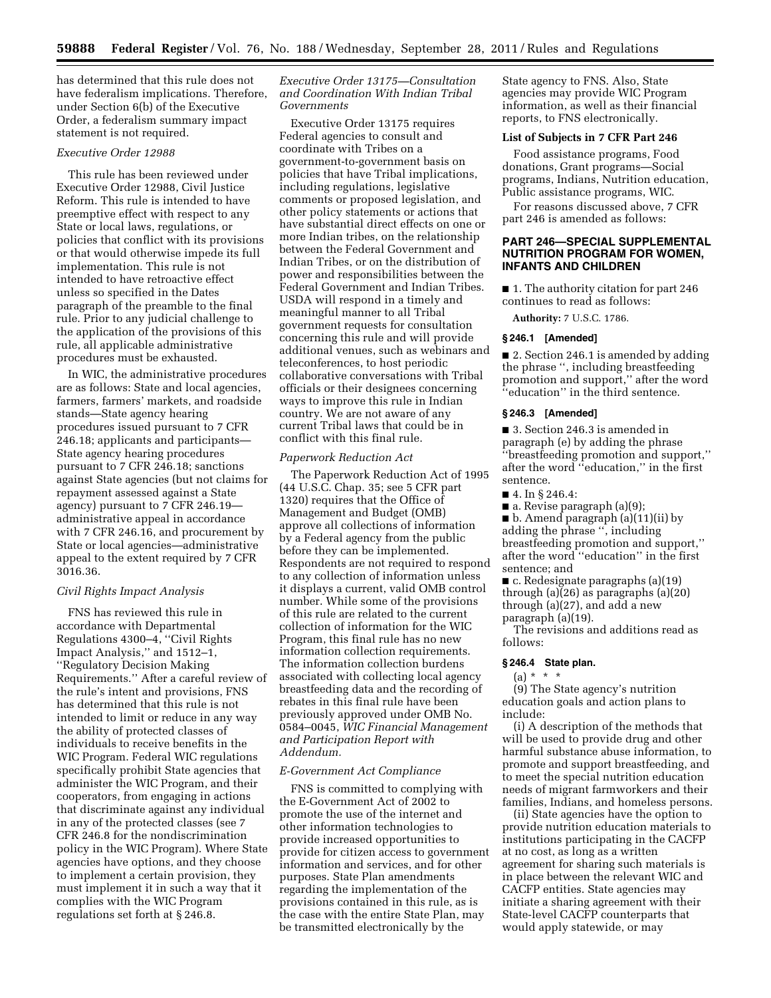has determined that this rule does not have federalism implications. Therefore, under Section 6(b) of the Executive Order, a federalism summary impact statement is not required.

# *Executive Order 12988*

This rule has been reviewed under Executive Order 12988, Civil Justice Reform. This rule is intended to have preemptive effect with respect to any State or local laws, regulations, or policies that conflict with its provisions or that would otherwise impede its full implementation. This rule is not intended to have retroactive effect unless so specified in the Dates paragraph of the preamble to the final rule. Prior to any judicial challenge to the application of the provisions of this rule, all applicable administrative procedures must be exhausted.

In WIC, the administrative procedures are as follows: State and local agencies, farmers, farmers' markets, and roadside stands—State agency hearing procedures issued pursuant to 7 CFR 246.18; applicants and participants— State agency hearing procedures pursuant to 7 CFR 246.18; sanctions against State agencies (but not claims for repayment assessed against a State agency) pursuant to 7 CFR 246.19 administrative appeal in accordance with 7 CFR 246.16, and procurement by State or local agencies—administrative appeal to the extent required by 7 CFR 3016.36.

#### *Civil Rights Impact Analysis*

FNS has reviewed this rule in accordance with Departmental Regulations 4300–4, ''Civil Rights Impact Analysis,'' and 1512–1, ''Regulatory Decision Making Requirements.'' After a careful review of the rule's intent and provisions, FNS has determined that this rule is not intended to limit or reduce in any way the ability of protected classes of individuals to receive benefits in the WIC Program. Federal WIC regulations specifically prohibit State agencies that administer the WIC Program, and their cooperators, from engaging in actions that discriminate against any individual in any of the protected classes (see 7 CFR 246.8 for the nondiscrimination policy in the WIC Program). Where State agencies have options, and they choose to implement a certain provision, they must implement it in such a way that it complies with the WIC Program regulations set forth at § 246.8.

# *Executive Order 13175—Consultation and Coordination With Indian Tribal Governments*

Executive Order 13175 requires Federal agencies to consult and coordinate with Tribes on a government-to-government basis on policies that have Tribal implications, including regulations, legislative comments or proposed legislation, and other policy statements or actions that have substantial direct effects on one or more Indian tribes, on the relationship between the Federal Government and Indian Tribes, or on the distribution of power and responsibilities between the Federal Government and Indian Tribes. USDA will respond in a timely and meaningful manner to all Tribal government requests for consultation concerning this rule and will provide additional venues, such as webinars and teleconferences, to host periodic collaborative conversations with Tribal officials or their designees concerning ways to improve this rule in Indian country. We are not aware of any current Tribal laws that could be in conflict with this final rule.

# *Paperwork Reduction Act*

The Paperwork Reduction Act of 1995 (44 U.S.C. Chap. 35; see 5 CFR part 1320) requires that the Office of Management and Budget (OMB) approve all collections of information by a Federal agency from the public before they can be implemented. Respondents are not required to respond to any collection of information unless it displays a current, valid OMB control number. While some of the provisions of this rule are related to the current collection of information for the WIC Program, this final rule has no new information collection requirements. The information collection burdens associated with collecting local agency breastfeeding data and the recording of rebates in this final rule have been previously approved under OMB No. 0584–0045, *WIC Financial Management and Participation Report with Addendum.* 

#### *E-Government Act Compliance*

FNS is committed to complying with the E-Government Act of 2002 to promote the use of the internet and other information technologies to provide increased opportunities to provide for citizen access to government information and services, and for other purposes. State Plan amendments regarding the implementation of the provisions contained in this rule, as is the case with the entire State Plan, may be transmitted electronically by the

State agency to FNS. Also, State agencies may provide WIC Program information, as well as their financial reports, to FNS electronically.

# **List of Subjects in 7 CFR Part 246**

Food assistance programs, Food donations, Grant programs—Social programs, Indians, Nutrition education, Public assistance programs, WIC.

For reasons discussed above, 7 CFR part 246 is amended as follows:

## **PART 246—SPECIAL SUPPLEMENTAL NUTRITION PROGRAM FOR WOMEN, INFANTS AND CHILDREN**

■ 1. The authority citation for part 246 continues to read as follows:

**Authority:** 7 U.S.C. 1786.

#### **§ 246.1 [Amended]**

■ 2. Section 246.1 is amended by adding the phrase '', including breastfeeding promotion and support,'' after the word ''education'' in the third sentence.

## **§ 246.3 [Amended]**

■ 3. Section 246.3 is amended in paragraph (e) by adding the phrase ''breastfeeding promotion and support,'' after the word ''education,'' in the first sentence.

■ 4. In § 246.4:

■ a. Revise paragraph (a)(9); ■ b. Amend paragraph (a)(11)(ii) by adding the phrase '', including breastfeeding promotion and support,'' after the word ''education'' in the first sentence; and

■ c. Redesignate paragraphs (a)(19) through (a)(26) as paragraphs (a)(20) through (a)(27), and add a new paragraph (a)(19).

The revisions and additions read as follows:

# **§ 246.4 State plan.**

# $(a) * * * *$

(9) The State agency's nutrition education goals and action plans to include:

(i) A description of the methods that will be used to provide drug and other harmful substance abuse information, to promote and support breastfeeding, and to meet the special nutrition education needs of migrant farmworkers and their families, Indians, and homeless persons.

(ii) State agencies have the option to provide nutrition education materials to institutions participating in the CACFP at no cost, as long as a written agreement for sharing such materials is in place between the relevant WIC and CACFP entities. State agencies may initiate a sharing agreement with their State-level CACFP counterparts that would apply statewide, or may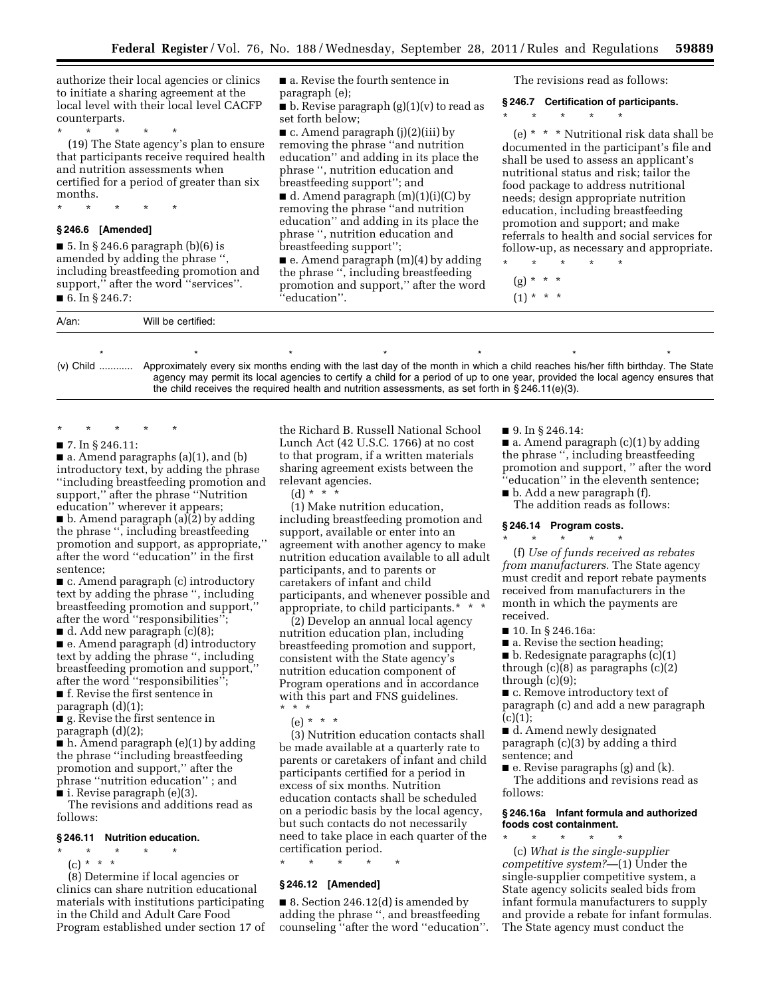authorize their local agencies or clinics to initiate a sharing agreement at the local level with their local level CACFP counterparts.

\* \* \* \* \*

(19) The State agency's plan to ensure that participants receive required health and nutrition assessments when certified for a period of greater than six months.

\* \* \* \* \*

# **§ 246.6 [Amended]**

■ 5. In § 246.6 paragraph  $(b)(6)$  is amended by adding the phrase '', including breastfeeding promotion and support,'' after the word ''services''.

■ 6. In § 246.7:

■ a. Revise the fourth sentence in paragraph (e);

 $\blacksquare$  b. Revise paragraph  $(g)(1)(v)$  to read as set forth below;

 $\blacksquare$  c. Amend paragraph (j)(2)(iii) by removing the phrase ''and nutrition education'' and adding in its place the phrase '', nutrition education and breastfeeding support''; and

 $\blacksquare$  d. Amend paragraph  $(m)(1)(i)(C)$  by removing the phrase ''and nutrition education'' and adding in its place the phrase '', nutrition education and breastfeeding support'';

■ e. Amend paragraph (m)(4) by adding the phrase '', including breastfeeding promotion and support,'' after the word ''education''.

The revisions read as follows:

#### **§ 246.7 Certification of participants.**

\* \* \* \* \*

(e) \* \* \* Nutritional risk data shall be documented in the participant's file and shall be used to assess an applicant's nutritional status and risk; tailor the food package to address nutritional needs; design appropriate nutrition education, including breastfeeding promotion and support; and make referrals to health and social services for follow-up, as necessary and appropriate.

\* \* \* \* \*

- $(g) * * * *$
- $(1) * * * *$

A/an: Will be certified: \*\*\*\*\*\*\* (v) Child ............ Approximately every six months ending with the last day of the month in which a child reaches his/her fifth birthday. The State agency may permit its local agencies to certify a child for a period of up to one year, provided the local agency ensures that the child receives the required health and nutrition assessments, as set forth in § 246.11(e)(3).

\* \* \* \* \*

#### ■ 7. In § 246.11:

■ a. Amend paragraphs (a)(1), and (b) introductory text, by adding the phrase ''including breastfeeding promotion and support,'' after the phrase ''Nutrition education'' wherever it appears;  $\blacksquare$  b. Amend paragraph (a)(2) by adding the phrase '', including breastfeeding promotion and support, as appropriate,'' after the word ''education'' in the first sentence;

■ c. Amend paragraph (c) introductory text by adding the phrase '', including breastfeeding promotion and support,'' after the word ''responsibilities'';

 $\blacksquare$  d. Add new paragraph  $(c)(8)$ ;

■ e. Amend paragraph (d) introductory text by adding the phrase '', including breastfeeding promotion and support,'' after the word ''responsibilities'';

■ f. Revise the first sentence in

paragraph (d)(1);

■ g. Revise the first sentence in paragraph (d)(2);

■ h. Amend paragraph (e)(1) by adding the phrase ''including breastfeeding promotion and support,'' after the phrase ''nutrition education'' ; and ■ i. Revise paragraph (e)(3).

The revisions and additions read as follows:

#### **§ 246.11 Nutrition education.**

- \* \* \* \* \*
- $(c) * * * *$

(8) Determine if local agencies or clinics can share nutrition educational materials with institutions participating in the Child and Adult Care Food Program established under section 17 of

the Richard B. Russell National School Lunch Act (42 U.S.C. 1766) at no cost to that program, if a written materials sharing agreement exists between the relevant agencies.

(d) \* \* \*

(1) Make nutrition education, including breastfeeding promotion and support, available or enter into an agreement with another agency to make nutrition education available to all adult participants, and to parents or caretakers of infant and child participants, and whenever possible and appropriate, to child participants.\* \* \*

(2) Develop an annual local agency nutrition education plan, including breastfeeding promotion and support, consistent with the State agency's nutrition education component of Program operations and in accordance with this part and FNS guidelines. \* \* \*

 $(e) * * * *$ 

(3) Nutrition education contacts shall be made available at a quarterly rate to parents or caretakers of infant and child participants certified for a period in excess of six months. Nutrition education contacts shall be scheduled on a periodic basis by the local agency, but such contacts do not necessarily need to take place in each quarter of the certification period.

\* \* \* \* \*

#### **§ 246.12 [Amended]**

 $\blacksquare$  8. Section 246.12(d) is amended by adding the phrase '', and breastfeeding counseling ''after the word ''education''. ■ 9. In § 246.14:

 $\blacksquare$  a. Amend paragraph  $(c)(1)$  by adding the phrase '', including breastfeeding promotion and support, '' after the word 'education'' in the eleventh sentence;

■ b. Add a new paragraph (f). The addition reads as follows:

#### **§ 246.14 Program costs.**   $\star$   $\star$   $\star$

(f) *Use of funds received as rebates from manufacturers.* The State agency must credit and report rebate payments received from manufacturers in the month in which the payments are received.

■ 10. In § 246.16a:

■ a. Revise the section heading;

 $\blacksquare$  b. Redesignate paragraphs (c)(1)

through (c)(8) as paragraphs (c)(2) through (c)(9);

■ c. Remove introductory text of paragraph (c) and add a new paragraph  $(c)(1);$ 

■ d. Amend newly designated paragraph (c)(3) by adding a third sentence; and

■ e. Revise paragraphs (g) and (k). The additions and revisions read as follows:

# **§ 246.16a Infant formula and authorized foods cost containment.**

\* \* \* \* \* (c) *What is the single-supplier competitive system?*—(1) Under the single-supplier competitive system, a State agency solicits sealed bids from infant formula manufacturers to supply and provide a rebate for infant formulas. The State agency must conduct the